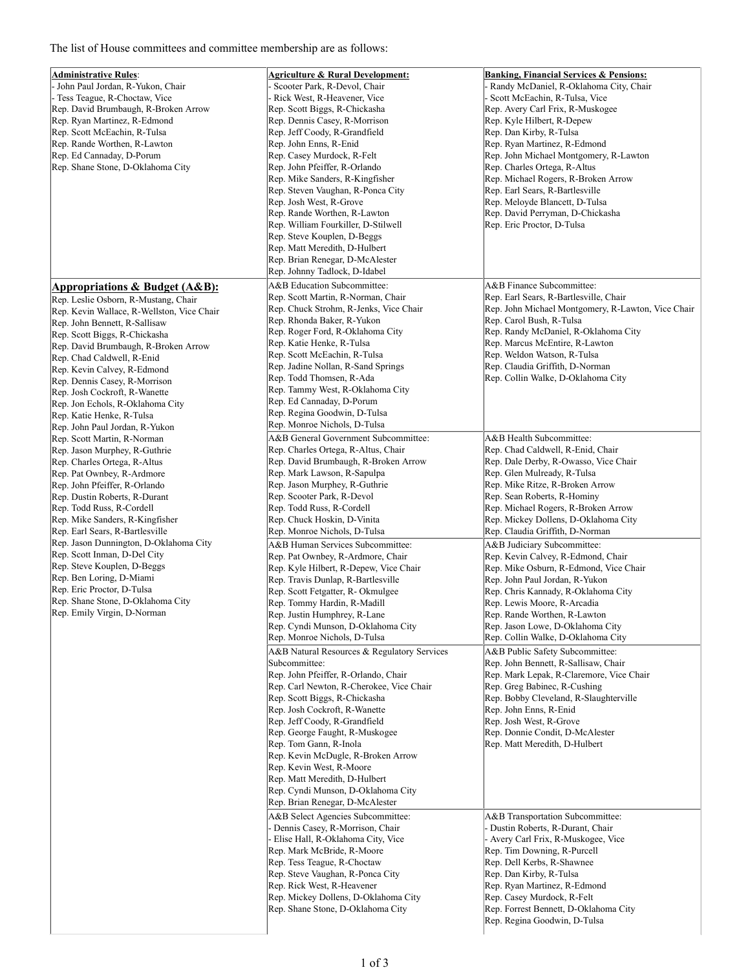## The list of House committees and committee membership are as follows:

| <b>Administrative Rules:</b>                  | <b>Agriculture &amp; Rural Development:</b> | <b>Banking, Financial Services &amp; Pensions:</b>                    |
|-----------------------------------------------|---------------------------------------------|-----------------------------------------------------------------------|
|                                               |                                             |                                                                       |
| John Paul Jordan, R-Yukon, Chair              | Scooter Park, R-Devol, Chair                | Randy McDaniel, R-Oklahoma City, Chair                                |
| Tess Teague, R-Choctaw, Vice                  | Rick West, R-Heavener, Vice                 | Scott McEachin, R-Tulsa, Vice                                         |
| Rep. David Brumbaugh, R-Broken Arrow          | Rep. Scott Biggs, R-Chickasha               | Rep. Avery Carl Frix, R-Muskogee                                      |
| Rep. Ryan Martinez, R-Edmond                  | Rep. Dennis Casey, R-Morrison               | Rep. Kyle Hilbert, R-Depew                                            |
| Rep. Scott McEachin, R-Tulsa                  | Rep. Jeff Coody, R-Grandfield               | Rep. Dan Kirby, R-Tulsa                                               |
| Rep. Rande Worthen, R-Lawton                  | Rep. John Enns, R-Enid                      | Rep. Ryan Martinez, R-Edmond                                          |
| Rep. Ed Cannaday, D-Porum                     | Rep. Casey Murdock, R-Felt                  | Rep. John Michael Montgomery, R-Lawton                                |
|                                               |                                             |                                                                       |
| Rep. Shane Stone, D-Oklahoma City             | Rep. John Pfeiffer, R-Orlando               | Rep. Charles Ortega, R-Altus                                          |
|                                               | Rep. Mike Sanders, R-Kingfisher             | Rep. Michael Rogers, R-Broken Arrow                                   |
|                                               | Rep. Steven Vaughan, R-Ponca City           | Rep. Earl Sears, R-Bartlesville                                       |
|                                               | Rep. Josh West, R-Grove                     | Rep. Meloyde Blancett, D-Tulsa                                        |
|                                               | Rep. Rande Worthen, R-Lawton                | Rep. David Perryman, D-Chickasha                                      |
|                                               | Rep. William Fourkiller, D-Stilwell         | Rep. Eric Proctor, D-Tulsa                                            |
|                                               |                                             |                                                                       |
|                                               | Rep. Steve Kouplen, D-Beggs                 |                                                                       |
|                                               | Rep. Matt Meredith, D-Hulbert               |                                                                       |
|                                               | Rep. Brian Renegar, D-McAlester             |                                                                       |
|                                               | Rep. Johnny Tadlock, D-Idabel               |                                                                       |
|                                               | A&B Education Subcommittee:                 | A&B Finance Subcommittee:                                             |
| <b>Appropriations &amp; Budget (A&amp;B):</b> |                                             | Rep. Earl Sears, R-Bartlesville, Chair                                |
| Rep. Leslie Osborn, R-Mustang, Chair          | Rep. Scott Martin, R-Norman, Chair          |                                                                       |
| Rep. Kevin Wallace, R-Wellston, Vice Chair    | Rep. Chuck Strohm, R-Jenks, Vice Chair      | Rep. John Michael Montgomery, R-Lawton, Vice Chair                    |
| Rep. John Bennett, R-Sallisaw                 | Rep. Rhonda Baker, R-Yukon                  | Rep. Carol Bush, R-Tulsa                                              |
| Rep. Scott Biggs, R-Chickasha                 | Rep. Roger Ford, R-Oklahoma City            | Rep. Randy McDaniel, R-Oklahoma City                                  |
| Rep. David Brumbaugh, R-Broken Arrow          | Rep. Katie Henke, R-Tulsa                   | Rep. Marcus McEntire, R-Lawton                                        |
|                                               | Rep. Scott McEachin, R-Tulsa                | Rep. Weldon Watson, R-Tulsa                                           |
| Rep. Chad Caldwell, R-Enid                    |                                             |                                                                       |
| Rep. Kevin Calvey, R-Edmond                   | Rep. Jadine Nollan, R-Sand Springs          | Rep. Claudia Griffith, D-Norman                                       |
| Rep. Dennis Casey, R-Morrison                 | Rep. Todd Thomsen, R-Ada                    | Rep. Collin Walke, D-Oklahoma City                                    |
| Rep. Josh Cockroft, R-Wanette                 | Rep. Tammy West, R-Oklahoma City            |                                                                       |
| Rep. Jon Echols, R-Oklahoma City              | Rep. Ed Cannaday, D-Porum                   |                                                                       |
|                                               | Rep. Regina Goodwin, D-Tulsa                |                                                                       |
| Rep. Katie Henke, R-Tulsa                     | Rep. Monroe Nichols, D-Tulsa                |                                                                       |
| Rep. John Paul Jordan, R-Yukon                |                                             |                                                                       |
| Rep. Scott Martin, R-Norman                   | A&B General Government Subcommittee:        | A&B Health Subcommittee:                                              |
| Rep. Jason Murphey, R-Guthrie                 | Rep. Charles Ortega, R-Altus, Chair         | Rep. Chad Caldwell, R-Enid, Chair                                     |
| Rep. Charles Ortega, R-Altus                  | Rep. David Brumbaugh, R-Broken Arrow        | Rep. Dale Derby, R-Owasso, Vice Chair                                 |
| Rep. Pat Ownbey, R-Ardmore                    | Rep. Mark Lawson, R-Sapulpa                 | Rep. Glen Mulready, R-Tulsa                                           |
| Rep. John Pfeiffer, R-Orlando                 | Rep. Jason Murphey, R-Guthrie               | Rep. Mike Ritze, R-Broken Arrow                                       |
| Rep. Dustin Roberts, R-Durant                 | Rep. Scooter Park, R-Devol                  | Rep. Sean Roberts, R-Hominy                                           |
|                                               |                                             |                                                                       |
| Rep. Todd Russ, R-Cordell                     | Rep. Todd Russ, R-Cordell                   | Rep. Michael Rogers, R-Broken Arrow                                   |
| Rep. Mike Sanders, R-Kingfisher               | Rep. Chuck Hoskin, D-Vinita                 | Rep. Mickey Dollens, D-Oklahoma City                                  |
| Rep. Earl Sears, R-Bartlesville               | Rep. Monroe Nichols, D-Tulsa                | Rep. Claudia Griffith, D-Norman                                       |
| Rep. Jason Dunnington, D-Oklahoma City        | A&B Human Services Subcommittee:            | A&B Judiciary Subcommittee:                                           |
| Rep. Scott Inman, D-Del City                  | Rep. Pat Ownbey, R-Ardmore, Chair           | Rep. Kevin Calvey, R-Edmond, Chair                                    |
| Rep. Steve Kouplen, D-Beggs                   | Rep. Kyle Hilbert, R-Depew, Vice Chair      |                                                                       |
| Rep. Ben Loring, D-Miami                      |                                             | Rep. Mike Osburn, R-Edmond, Vice Chair                                |
|                                               | Rep. Travis Dunlap, R-Bartlesville          | Rep. John Paul Jordan, R-Yukon                                        |
| Rep. Eric Proctor, D-Tulsa                    | Rep. Scott Fetgatter, R-Okmulgee            | Rep. Chris Kannady, R-Oklahoma City                                   |
| Rep. Shane Stone, D-Oklahoma City             | Rep. Tommy Hardin, R-Madill                 | Rep. Lewis Moore, R-Arcadia                                           |
| Rep. Emily Virgin, D-Norman                   | Rep. Justin Humphrey, R-Lane                | Rep. Rande Worthen, R-Lawton                                          |
|                                               | Rep. Cyndi Munson, D-Oklahoma City          | Rep. Jason Lowe, D-Oklahoma City                                      |
|                                               | Rep. Monroe Nichols, D-Tulsa                | Rep. Collin Walke, D-Oklahoma City                                    |
|                                               |                                             |                                                                       |
|                                               | A&B Natural Resources & Regulatory Services | A&B Public Safety Subcommittee:                                       |
|                                               | Subcommittee:                               | Rep. John Bennett, R-Sallisaw, Chair                                  |
|                                               | Rep. John Pfeiffer, R-Orlando, Chair        | Rep. Mark Lepak, R-Claremore, Vice Chair                              |
|                                               | Rep. Carl Newton, R-Cherokee, Vice Chair    | Rep. Greg Babinec, R-Cushing                                          |
|                                               |                                             |                                                                       |
|                                               | Rep. Scott Biggs, R-Chickasha               | Rep. Bobby Cleveland, R-Slaughterville                                |
|                                               | Rep. Josh Cockroft, R-Wanette               | Rep. John Enns, R-Enid                                                |
|                                               | Rep. Jeff Coody, R-Grandfield               | Rep. Josh West, R-Grove                                               |
|                                               | Rep. George Faught, R-Muskogee              | Rep. Donnie Condit, D-McAlester                                       |
|                                               | Rep. Tom Gann, R-Inola                      | Rep. Matt Meredith, D-Hulbert                                         |
|                                               | Rep. Kevin McDugle, R-Broken Arrow          |                                                                       |
|                                               |                                             |                                                                       |
|                                               | Rep. Kevin West, R-Moore                    |                                                                       |
|                                               | Rep. Matt Meredith, D-Hulbert               |                                                                       |
|                                               | Rep. Cyndi Munson, D-Oklahoma City          |                                                                       |
|                                               | Rep. Brian Renegar, D-McAlester             |                                                                       |
|                                               |                                             |                                                                       |
|                                               | A&B Select Agencies Subcommittee:           | A&B Transportation Subcommittee:                                      |
|                                               | - Dennis Casey, R-Morrison, Chair           | Dustin Roberts, R-Durant, Chair                                       |
|                                               |                                             |                                                                       |
|                                               | - Elise Hall, R-Oklahoma City, Vice         | Avery Carl Frix, R-Muskogee, Vice                                     |
|                                               |                                             |                                                                       |
|                                               | Rep. Mark McBride, R-Moore                  | Rep. Tim Downing, R-Purcell                                           |
|                                               | Rep. Tess Teague, R-Choctaw                 | Rep. Dell Kerbs, R-Shawnee                                            |
|                                               | Rep. Steve Vaughan, R-Ponca City            | Rep. Dan Kirby, R-Tulsa                                               |
|                                               | Rep. Rick West, R-Heavener                  | Rep. Ryan Martinez, R-Edmond                                          |
|                                               |                                             | Rep. Casey Murdock, R-Felt                                            |
|                                               | Rep. Mickey Dollens, D-Oklahoma City        |                                                                       |
|                                               | Rep. Shane Stone, D-Oklahoma City           | Rep. Forrest Bennett, D-Oklahoma City<br>Rep. Regina Goodwin, D-Tulsa |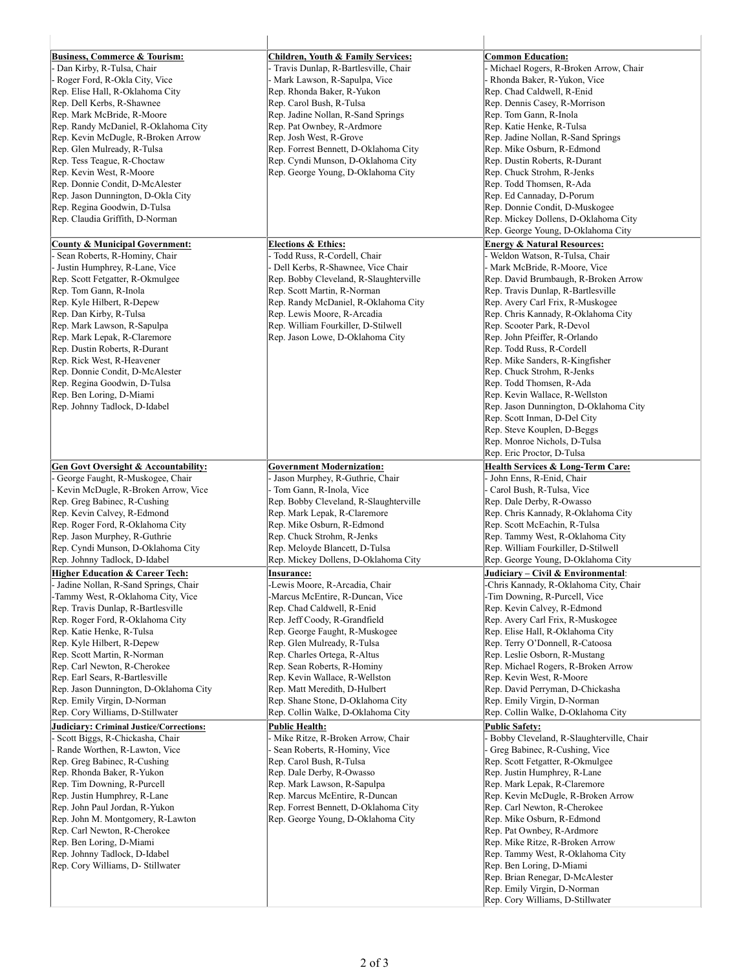| <b>Business, Commerce &amp; Tourism:</b>        | Children, Youth & Family Services:     | <b>Common Education:</b>                 |  |
|-------------------------------------------------|----------------------------------------|------------------------------------------|--|
| Dan Kirby, R-Tulsa, Chair                       | Travis Dunlap, R-Bartlesville, Chair   | Michael Rogers, R-Broken Arrow, Chair    |  |
| Roger Ford, R-Okla City, Vice                   | Mark Lawson, R-Sapulpa, Vice           | Rhonda Baker, R-Yukon, Vice              |  |
| Rep. Elise Hall, R-Oklahoma City                | Rep. Rhonda Baker, R-Yukon             | Rep. Chad Caldwell, R-Enid               |  |
| Rep. Dell Kerbs, R-Shawnee                      | Rep. Carol Bush, R-Tulsa               | Rep. Dennis Casey, R-Morrison            |  |
| Rep. Mark McBride, R-Moore                      | Rep. Jadine Nollan, R-Sand Springs     | Rep. Tom Gann, R-Inola                   |  |
| Rep. Randy McDaniel, R-Oklahoma City            | Rep. Pat Ownbey, R-Ardmore             | Rep. Katie Henke, R-Tulsa                |  |
| Rep. Kevin McDugle, R-Broken Arrow              | Rep. Josh West, R-Grove                | Rep. Jadine Nollan, R-Sand Springs       |  |
| Rep. Glen Mulready, R-Tulsa                     | Rep. Forrest Bennett, D-Oklahoma City  | Rep. Mike Osburn, R-Edmond               |  |
| Rep. Tess Teague, R-Choctaw                     | Rep. Cyndi Munson, D-Oklahoma City     | Rep. Dustin Roberts, R-Durant            |  |
| Rep. Kevin West, R-Moore                        | Rep. George Young, D-Oklahoma City     | Rep. Chuck Strohm, R-Jenks               |  |
| Rep. Donnie Condit, D-McAlester                 |                                        | Rep. Todd Thomsen, R-Ada                 |  |
| Rep. Jason Dunnington, D-Okla City              |                                        | Rep. Ed Cannaday, D-Porum                |  |
| Rep. Regina Goodwin, D-Tulsa                    |                                        | Rep. Donnie Condit, D-Muskogee           |  |
| Rep. Claudia Griffith, D-Norman                 |                                        | Rep. Mickey Dollens, D-Oklahoma City     |  |
|                                                 |                                        | Rep. George Young, D-Oklahoma City       |  |
| <b>County &amp; Municipal Government:</b>       | <b>Elections &amp; Ethics:</b>         | <b>Energy &amp; Natural Resources:</b>   |  |
| Sean Roberts, R-Hominy, Chair                   | Todd Russ, R-Cordell, Chair            | Weldon Watson, R-Tulsa, Chair            |  |
| - Justin Humphrey, R-Lane, Vice                 | Dell Kerbs, R-Shawnee, Vice Chair      | Mark McBride, R-Moore, Vice              |  |
| Rep. Scott Fetgatter, R-Okmulgee                | Rep. Bobby Cleveland, R-Slaughterville | Rep. David Brumbaugh, R-Broken Arrow     |  |
| Rep. Tom Gann, R-Inola                          | Rep. Scott Martin, R-Norman            | Rep. Travis Dunlap, R-Bartlesville       |  |
| Rep. Kyle Hilbert, R-Depew                      | Rep. Randy McDaniel, R-Oklahoma City   | Rep. Avery Carl Frix, R-Muskogee         |  |
| Rep. Dan Kirby, R-Tulsa                         | Rep. Lewis Moore, R-Arcadia            | Rep. Chris Kannady, R-Oklahoma City      |  |
| Rep. Mark Lawson, R-Sapulpa                     | Rep. William Fourkiller, D-Stilwell    | Rep. Scooter Park, R-Devol               |  |
| Rep. Mark Lepak, R-Claremore                    | Rep. Jason Lowe, D-Oklahoma City       | Rep. John Pfeiffer, R-Orlando            |  |
| Rep. Dustin Roberts, R-Durant                   |                                        | Rep. Todd Russ, R-Cordell                |  |
| Rep. Rick West, R-Heavener                      |                                        | Rep. Mike Sanders, R-Kingfisher          |  |
| Rep. Donnie Condit, D-McAlester                 |                                        | Rep. Chuck Strohm, R-Jenks               |  |
| Rep. Regina Goodwin, D-Tulsa                    |                                        | Rep. Todd Thomsen, R-Ada                 |  |
| Rep. Ben Loring, D-Miami                        |                                        | Rep. Kevin Wallace, R-Wellston           |  |
| Rep. Johnny Tadlock, D-Idabel                   |                                        | Rep. Jason Dunnington, D-Oklahoma City   |  |
|                                                 |                                        | Rep. Scott Inman, D-Del City             |  |
|                                                 |                                        | Rep. Steve Kouplen, D-Beggs              |  |
|                                                 |                                        | Rep. Monroe Nichols, D-Tulsa             |  |
|                                                 |                                        | Rep. Eric Proctor, D-Tulsa               |  |
| <b>Gen Govt Oversight &amp; Accountability:</b> | <b>Government Modernization:</b>       | Health Services & Long-Term Care:        |  |
| George Faught, R-Muskogee, Chair                | Jason Murphey, R-Guthrie, Chair        | John Enns, R-Enid, Chair                 |  |
| Kevin McDugle, R-Broken Arrow, Vice             | - Tom Gann, R-Inola, Vice              | Carol Bush, R-Tulsa, Vice                |  |
| Rep. Greg Babinec, R-Cushing                    | Rep. Bobby Cleveland, R-Slaughterville | Rep. Dale Derby, R-Owasso                |  |
| Rep. Kevin Calvey, R-Edmond                     | Rep. Mark Lepak, R-Claremore           | Rep. Chris Kannady, R-Oklahoma City      |  |
| Rep. Roger Ford, R-Oklahoma City                | Rep. Mike Osburn, R-Edmond             | Rep. Scott McEachin, R-Tulsa             |  |
| Rep. Jason Murphey, R-Guthrie                   | Rep. Chuck Strohm, R-Jenks             | Rep. Tammy West, R-Oklahoma City         |  |
| Rep. Cyndi Munson, D-Oklahoma City              | Rep. Meloyde Blancett, D-Tulsa         | Rep. William Fourkiller, D-Stilwell      |  |
| Rep. Johnny Tadlock, D-Idabel                   | Rep. Mickey Dollens, D-Oklahoma City   | Rep. George Young, D-Oklahoma City       |  |
| <b>Higher Education &amp; Career Tech:</b>      | <b>Insurance:</b>                      | Judiciary – Civil & Environmental:       |  |
| Jadine Nollan, R-Sand Springs, Chair            | -Lewis Moore, R-Arcadia, Chair         | -Chris Kannady, R-Oklahoma City, Chair   |  |
| -Tammy West, R-Oklahoma City, Vice              | -Marcus McEntire, R-Duncan, Vice       | -Tim Downing, R-Purcell, Vice            |  |
| Rep. Travis Dunlap, R-Bartlesville              | Rep. Chad Caldwell, R-Enid             | Rep. Kevin Calvey, R-Edmond              |  |
| Rep. Roger Ford, R-Oklahoma City                | Rep. Jeff Coody, R-Grandfield          | Rep. Avery Carl Frix, R-Muskogee         |  |
| Rep. Katie Henke, R-Tulsa                       | Rep. George Faught, R-Muskogee         | Rep. Elise Hall, R-Oklahoma City         |  |
| Rep. Kyle Hilbert, R-Depew                      | Rep. Glen Mulready, R-Tulsa            | Rep. Terry O'Donnell, R-Catoosa          |  |
| Rep. Scott Martin, R-Norman                     | Rep. Charles Ortega, R-Altus           | Rep. Leslie Osborn, R-Mustang            |  |
| Rep. Carl Newton, R-Cherokee                    | Rep. Sean Roberts, R-Hominy            | Rep. Michael Rogers, R-Broken Arrow      |  |
| Rep. Earl Sears, R-Bartlesville                 | Rep. Kevin Wallace, R-Wellston         | Rep. Kevin West, R-Moore                 |  |
| Rep. Jason Dunnington, D-Oklahoma City          | Rep. Matt Meredith, D-Hulbert          | Rep. David Perryman, D-Chickasha         |  |
| Rep. Emily Virgin, D-Norman                     | Rep. Shane Stone, D-Oklahoma City      | Rep. Emily Virgin, D-Norman              |  |
| Rep. Cory Williams, D-Stillwater                | Rep. Collin Walke, D-Oklahoma City     | Rep. Collin Walke, D-Oklahoma City       |  |
| Judiciary: Criminal Justice/Corrections:        | Public Health:                         | <b>Public Safety:</b>                    |  |
| Scott Biggs, R-Chickasha, Chair                 | Mike Ritze, R-Broken Arrow, Chair      | Bobby Cleveland, R-Slaughterville, Chair |  |
| Rande Worthen, R-Lawton, Vice                   | Sean Roberts, R-Hominy, Vice           | Greg Babinec, R-Cushing, Vice            |  |
| Rep. Greg Babinec, R-Cushing                    | Rep. Carol Bush, R-Tulsa               | Rep. Scott Fetgatter, R-Okmulgee         |  |
| Rep. Rhonda Baker, R-Yukon                      | Rep. Dale Derby, R-Owasso              | Rep. Justin Humphrey, R-Lane             |  |
| Rep. Tim Downing, R-Purcell                     | Rep. Mark Lawson, R-Sapulpa            | Rep. Mark Lepak, R-Claremore             |  |
| Rep. Justin Humphrey, R-Lane                    | Rep. Marcus McEntire, R-Duncan         | Rep. Kevin McDugle, R-Broken Arrow       |  |
| Rep. John Paul Jordan, R-Yukon                  | Rep. Forrest Bennett, D-Oklahoma City  | Rep. Carl Newton, R-Cherokee             |  |
| Rep. John M. Montgomery, R-Lawton               | Rep. George Young, D-Oklahoma City     | Rep. Mike Osburn, R-Edmond               |  |
| Rep. Carl Newton, R-Cherokee                    |                                        | Rep. Pat Ownbey, R-Ardmore               |  |
| Rep. Ben Loring, D-Miami                        |                                        | Rep. Mike Ritze, R-Broken Arrow          |  |
| Rep. Johnny Tadlock, D-Idabel                   |                                        | Rep. Tammy West, R-Oklahoma City         |  |
| Rep. Cory Williams, D- Stillwater               |                                        | Rep. Ben Loring, D-Miami                 |  |
|                                                 |                                        | Rep. Brian Renegar, D-McAlester          |  |
|                                                 |                                        | Rep. Emily Virgin, D-Norman              |  |
|                                                 |                                        | Rep. Cory Williams, D-Stillwater         |  |